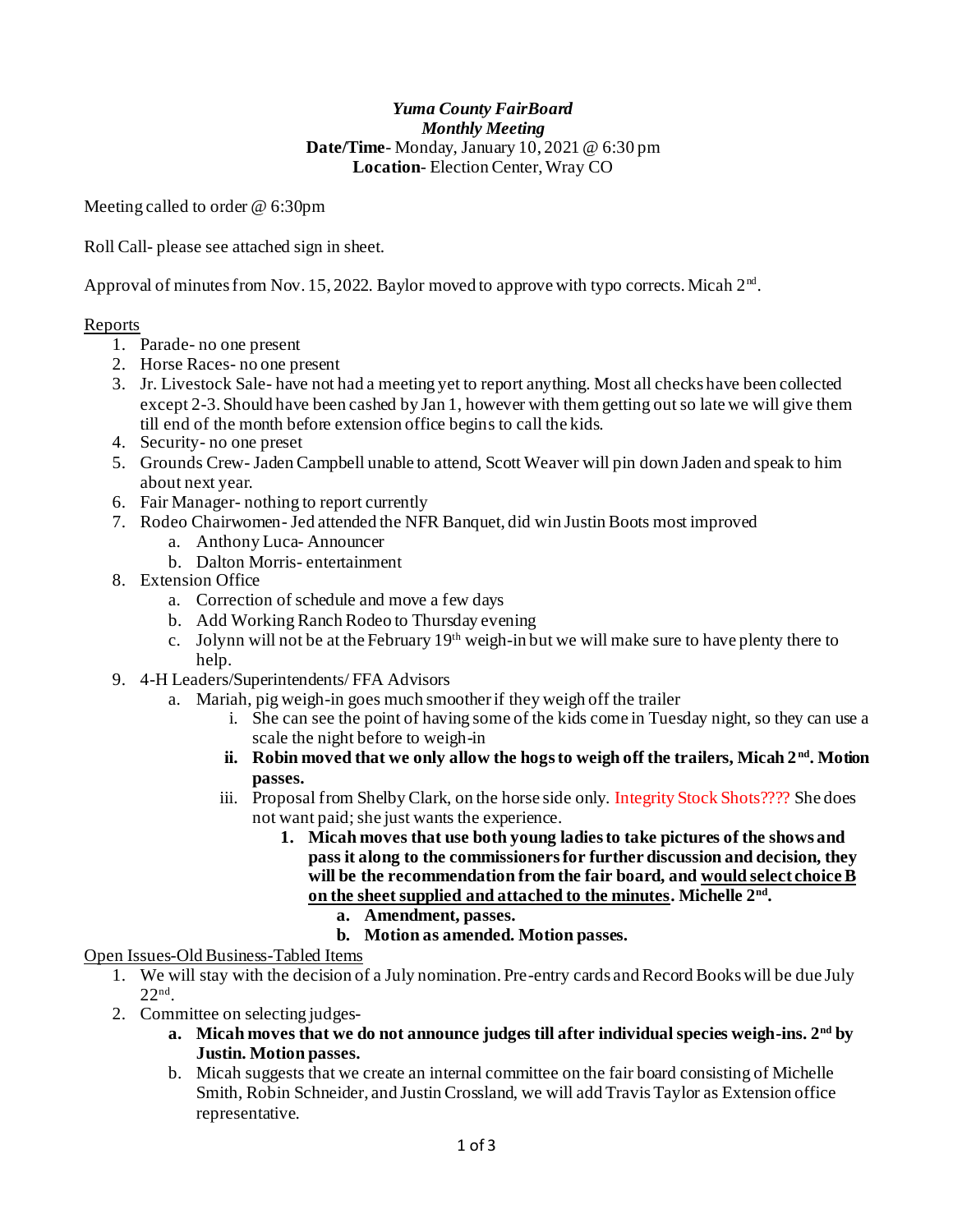### *Yuma County FairBoard Monthly Meeting* **Date/Time**- Monday, January 10, 2021 @ 6:30 pm **Location**- Election Center, Wray CO

Meeting called to order @ 6:30pm

Roll Call- please see attached sign in sheet.

Approval of minutes from Nov. 15, 2022. Baylor moved to approve with typo corrects. Micah  $2<sup>nd</sup>$ .

### Reports

- 1. Parade- no one present
- 2. Horse Races- no one present
- 3. Jr. Livestock Sale- have not had a meeting yet to report anything. Most all checks have been collected except 2-3. Should have been cashed by Jan 1, however with them getting out so late we will give them till end of the month before extension office begins to call the kids.
- 4. Security- no one preset
- 5. Grounds Crew- Jaden Campbell unable to attend, Scott Weaver will pin down Jaden and speak to him about next year.
- 6. Fair Manager- nothing to report currently
- 7. Rodeo Chairwomen- Jed attended the NFR Banquet, did win Justin Boots most improved
	- a. Anthony Luca- Announcer
	- b. Dalton Morris- entertainment
- 8. Extension Office
	- a. Correction of schedule and move a few days
	- b. Add Working Ranch Rodeo to Thursday evening
	- c. Jolynn will not be at the February  $19<sup>th</sup>$  weigh-in but we will make sure to have plenty there to help.
- 9. 4-H Leaders/Superintendents/ FFA Advisors
	- a. Mariah, pig weigh-in goes much smoother if they weigh off the trailer
		- i. She can see the point of having some of the kids come in Tuesday night, so they can use a scale the night before to weigh-in
		- **ii. Robin moved that we only allow the hogs to weigh off the trailers, Micah 2 nd. Motion passes.**
		- iii. Proposal from Shelby Clark, on the horse side only. Integrity Stock Shots???? She does not want paid; she just wants the experience.
			- **1. Micah moves that use both young ladies to take pictures of the shows and pass it along to the commissioners for further discussion and decision, they will be the recommendation from the fair board, and would select choice B on the sheet supplied and attached to the minutes. Michelle 2nd .**
				- **a. Amendment, passes.**
					- **b. Motion as amended. Motion passes.**

# Open Issues-Old Business-Tabled Items

- 1. We will stay with the decision of a July nomination. Pre-entry cards and Record Books will be due July 22nd .
- 2. Committee on selecting judges
	- **a. Micah moves that we do not announce judges till after individual species weigh-ins. 2nd by Justin. Motion passes.**
	- b. Micah suggests that we create an internal committee on the fair board consisting of Michelle Smith, Robin Schneider, and Justin Crossland, we will add Travis Taylor as Extension office representative.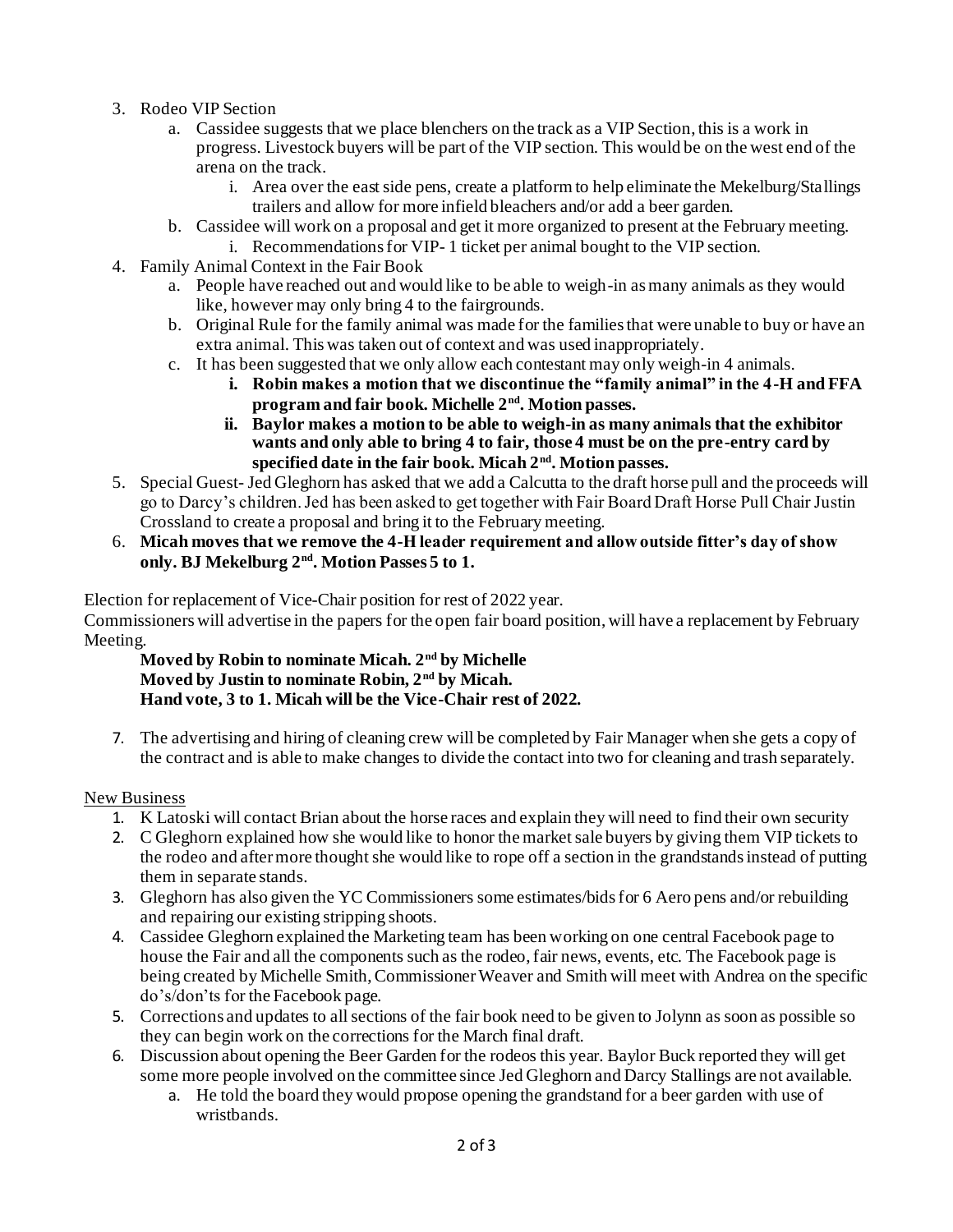- 3. Rodeo VIP Section
	- a. Cassidee suggests that we place blenchers on the track as a VIP Section, this is a work in progress. Livestock buyers will be part of the VIP section. This would be on the west end of the arena on the track.
		- i. Area over the east side pens, create a platform to help eliminate the Mekelburg/Stallings trailers and allow for more infield bleachers and/or add a beer garden.
	- b. Cassidee will work on a proposal and get it more organized to present at the February meeting.
- i. Recommendations for VIP- 1 ticket per animal bought to the VIP section. 4. Family Animal Context in the Fair Book
	- a. People have reached out and would like to be able to weigh-in as many animals as they would
		- like, however may only bring 4 to the fairgrounds.
		- b. Original Rule for the family animal was made for the families that were unable to buy or have an extra animal. This was taken out of context and was used inappropriately.
		- c. It has been suggested that we only allow each contestant may only weigh-in 4 animals.
			- **i. Robin makes a motion that we discontinue the "family animal" in the 4-H and FFA program and fair book. Michelle 2nd. Motion passes.**
			- **ii. Baylor makes a motion to be able to weigh-in as many animals that the exhibitor wants and only able to bring 4 to fair, those 4 must be on the pre-entry card by specified date in the fair book. Micah 2nd. Motion passes.**
- 5. Special Guest- Jed Gleghorn has asked that we add a Calcutta to the draft horse pull and the proceeds will go to Darcy's children. Jed has been asked to get together with Fair Board Draft Horse Pull Chair Justin Crossland to create a proposal and bring it to the February meeting.
- 6. **Micah moves that we remove the 4-H leader requirement and allow outside fitter's day of show only. BJ Mekelburg 2nd. Motion Passes 5 to 1.**

Election for replacement of Vice-Chair position for rest of 2022 year.

Commissioners will advertise in the papers for the open fair board position, will have a replacement by February Meeting.

**Moved by Robin to nominate Micah. 2nd by Michelle Moved by Justin to nominate Robin, 2nd by Micah. Hand vote, 3 to 1. Micah will be the Vice-Chair rest of 2022.**

7. The advertising and hiring of cleaning crew will be completed by Fair Manager when she gets a copy of the contract and is able to make changes to divide the contact into two for cleaning and trash separately.

# New Business

- 1. K Latoski will contact Brian about the horse races and explain they will need to find their own security
- 2. C Gleghorn explained how she would like to honor the market sale buyers by giving them VIP tickets to the rodeo and after more thought she would like to rope off a section in the grandstands instead of putting them in separate stands.
- 3. Gleghorn has also given the YC Commissioners some estimates/bids for 6 Aero pens and/or rebuilding and repairing our existing stripping shoots.
- 4. Cassidee Gleghorn explained the Marketing team has been working on one central Facebook page to house the Fair and all the components such as the rodeo, fair news, events, etc. The Facebook page is being created by Michelle Smith, Commissioner Weaver and Smith will meet with Andrea on the specific do's/don'ts for the Facebook page.
- 5. Corrections and updates to all sections of the fair book need to be given to Jolynn as soon as possible so they can begin work on the corrections for the March final draft.
- 6. Discussion about opening the Beer Garden for the rodeos this year. Baylor Buck reported they will get some more people involved on the committee since Jed Gleghorn and Darcy Stallings are not available.
	- a. He told the board they would propose opening the grandstand for a beer garden with use of wristbands.